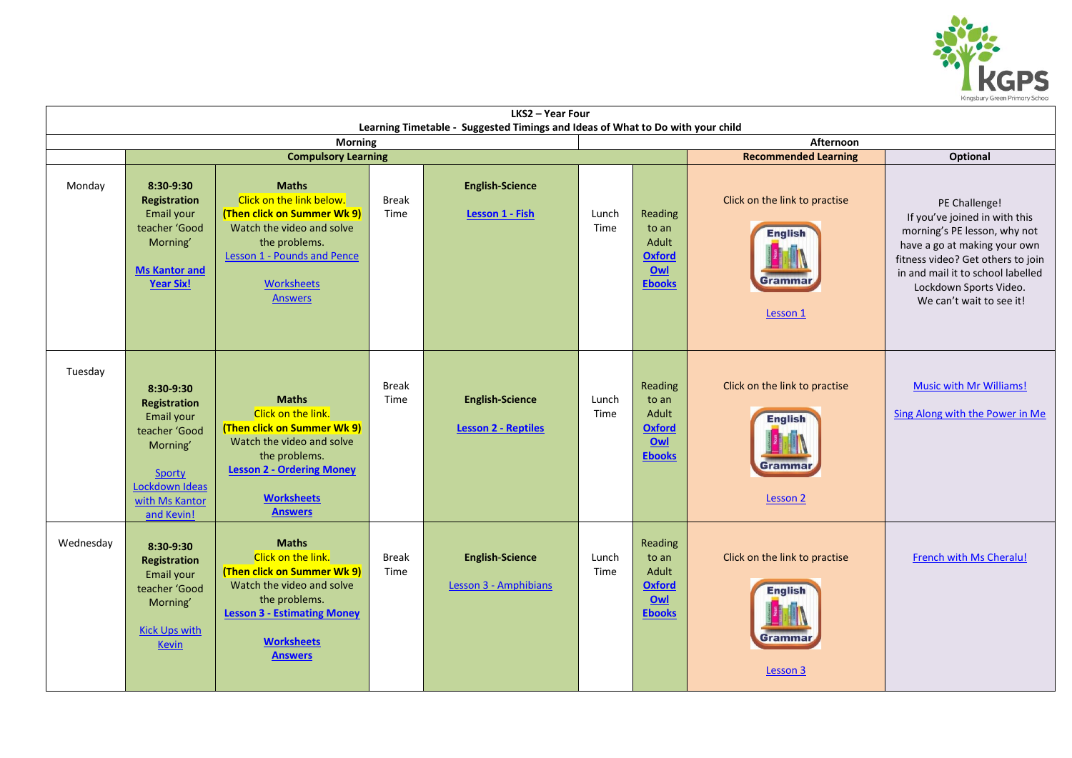

| LKS2 - Year Four                                                                                              |                                                                                                                                         |                                                                                                                                                                                                    |                      |                                                      |               |                                                                    |                                                                        |                                                                                                                                                                                                                                                |  |  |  |  |
|---------------------------------------------------------------------------------------------------------------|-----------------------------------------------------------------------------------------------------------------------------------------|----------------------------------------------------------------------------------------------------------------------------------------------------------------------------------------------------|----------------------|------------------------------------------------------|---------------|--------------------------------------------------------------------|------------------------------------------------------------------------|------------------------------------------------------------------------------------------------------------------------------------------------------------------------------------------------------------------------------------------------|--|--|--|--|
| Learning Timetable - Suggested Timings and Ideas of What to Do with your child<br>Afternoon<br><b>Morning</b> |                                                                                                                                         |                                                                                                                                                                                                    |                      |                                                      |               |                                                                    |                                                                        |                                                                                                                                                                                                                                                |  |  |  |  |
|                                                                                                               |                                                                                                                                         | <b>Compulsory Learning</b>                                                                                                                                                                         |                      | <b>Recommended Learning</b><br>Optional              |               |                                                                    |                                                                        |                                                                                                                                                                                                                                                |  |  |  |  |
| Monday                                                                                                        | 8:30-9:30<br>Registration<br>Email your<br>teacher 'Good<br>Morning'<br><b>Ms Kantor and</b><br><b>Year Six!</b>                        | <b>Maths</b><br>Click on the link below.<br>(Then click on Summer Wk 9)<br>Watch the video and solve<br>the problems.<br><b>Lesson 1 - Pounds and Pence</b><br><b>Worksheets</b><br><b>Answers</b> | <b>Break</b><br>Time | <b>English-Science</b><br>Lesson 1 - Fish            | Lunch<br>Time | Reading<br>to an<br>Adult<br><b>Oxford</b><br>Qw1<br><b>Ebooks</b> | Click on the link to practise<br><b>English</b><br>Grammar<br>Lesson 1 | PE Challenge!<br>If you've joined in with this<br>morning's PE lesson, why not<br>have a go at making your own<br>fitness video? Get others to join<br>in and mail it to school labelled<br>Lockdown Sports Video.<br>We can't wait to see it! |  |  |  |  |
| Tuesday                                                                                                       | 8:30-9:30<br>Registration<br>Email your<br>teacher 'Good<br>Morning'<br><b>Sporty</b><br>Lockdown Ideas<br>with Ms Kantor<br>and Kevin! | <b>Maths</b><br>Click on the link.<br>(Then click on Summer Wk 9)<br>Watch the video and solve<br>the problems.<br><b>Lesson 2 - Ordering Money</b><br><b>Worksheets</b><br><b>Answers</b>         | <b>Break</b><br>Time | <b>English-Science</b><br><b>Lesson 2 - Reptiles</b> | Lunch<br>Time | Reading<br>to an<br>Adult<br><b>Oxford</b><br>Owl<br><b>Ebooks</b> | Click on the link to practise<br><b>English</b><br>Grammaı<br>Lesson 2 | <b>Music with Mr Williams!</b><br>Sing Along with the Power in Me                                                                                                                                                                              |  |  |  |  |
| Wednesday                                                                                                     | 8:30-9:30<br>Registration<br>Email your<br>teacher 'Good<br>Morning'<br><b>Kick Ups with</b><br><b>Kevin</b>                            | <b>Maths</b><br>Click on the link.<br>(Then click on Summer Wk 9)<br>Watch the video and solve<br>the problems.<br><b>Lesson 3 - Estimating Money</b><br><b>Worksheets</b><br><b>Answers</b>       | <b>Break</b><br>Time | <b>English-Science</b><br>Lesson 3 - Amphibians      | Lunch<br>Time | Reading<br>to an<br>Adult<br><b>Oxford</b><br>Owl<br><b>Ebooks</b> | Click on the link to practise<br><b>English</b><br>Grammar<br>Lesson 3 | French with Ms Cheralu!                                                                                                                                                                                                                        |  |  |  |  |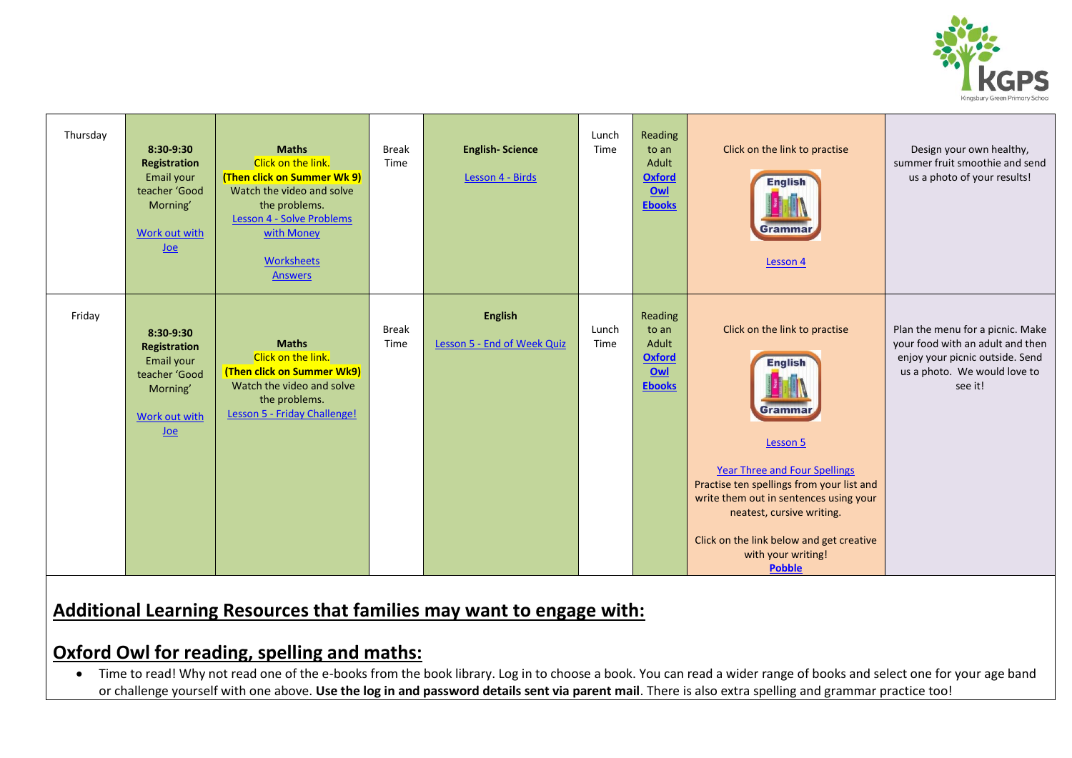

| Thursday | 8:30-9:30<br>Registration<br>Email your<br>teacher 'Good<br>Morning'<br><b>Work out with</b><br>Joe   | <b>Maths</b><br>Click on the link.<br>(Then click on Summer Wk 9)<br>Watch the video and solve<br>the problems.<br>Lesson 4 - Solve Problems<br>with Money<br><b>Worksheets</b><br><b>Answers</b> | <b>Break</b><br>Time | <b>English-Science</b><br>Lesson 4 - Birds    | Lunch<br>Time | Reading<br>to an<br>Adult<br><b>Oxford</b><br>Owl<br><b>Ebooks</b> | Click on the link to practise<br><b>English</b><br>Grammar<br>Lesson 4                                                                                                                                                                                                                                                | Design your own healthy,<br>summer fruit smoothie and send<br>us a photo of your results!                                                          |
|----------|-------------------------------------------------------------------------------------------------------|---------------------------------------------------------------------------------------------------------------------------------------------------------------------------------------------------|----------------------|-----------------------------------------------|---------------|--------------------------------------------------------------------|-----------------------------------------------------------------------------------------------------------------------------------------------------------------------------------------------------------------------------------------------------------------------------------------------------------------------|----------------------------------------------------------------------------------------------------------------------------------------------------|
| Friday   | 8:30-9:30<br><b>Registration</b><br>Email your<br>teacher 'Good<br>Morning'<br>Work out with<br>$Joe$ | <b>Maths</b><br>Click on the link.<br>(Then click on Summer Wk9)<br>Watch the video and solve<br>the problems.<br>Lesson 5 - Friday Challenge!                                                    | <b>Break</b><br>Time | <b>English</b><br>Lesson 5 - End of Week Quiz | Lunch<br>Time | Reading<br>to an<br>Adult<br><b>Oxford</b><br>Owl<br><b>Ebooks</b> | Click on the link to practise<br><b>English</b><br>Grammar<br>Lesson 5<br><b>Year Three and Four Spellings</b><br>Practise ten spellings from your list and<br>write them out in sentences using your<br>neatest, cursive writing.<br>Click on the link below and get creative<br>with your writing!<br><b>Pobble</b> | Plan the menu for a picnic. Make<br>your food with an adult and then<br>enjoy your picnic outside. Send<br>us a photo. We would love to<br>see it! |

## **Additional Learning Resources that families may want to engage with:**

### **Oxford Owl for reading, spelling and maths:**

• Time to read! Why not read one of the e-books from the book library. Log in to choose a book. You can read a wider range of books and select one for your age band or challenge yourself with one above. **Use the log in and password details sent via parent mail**. There is also extra spelling and grammar practice too!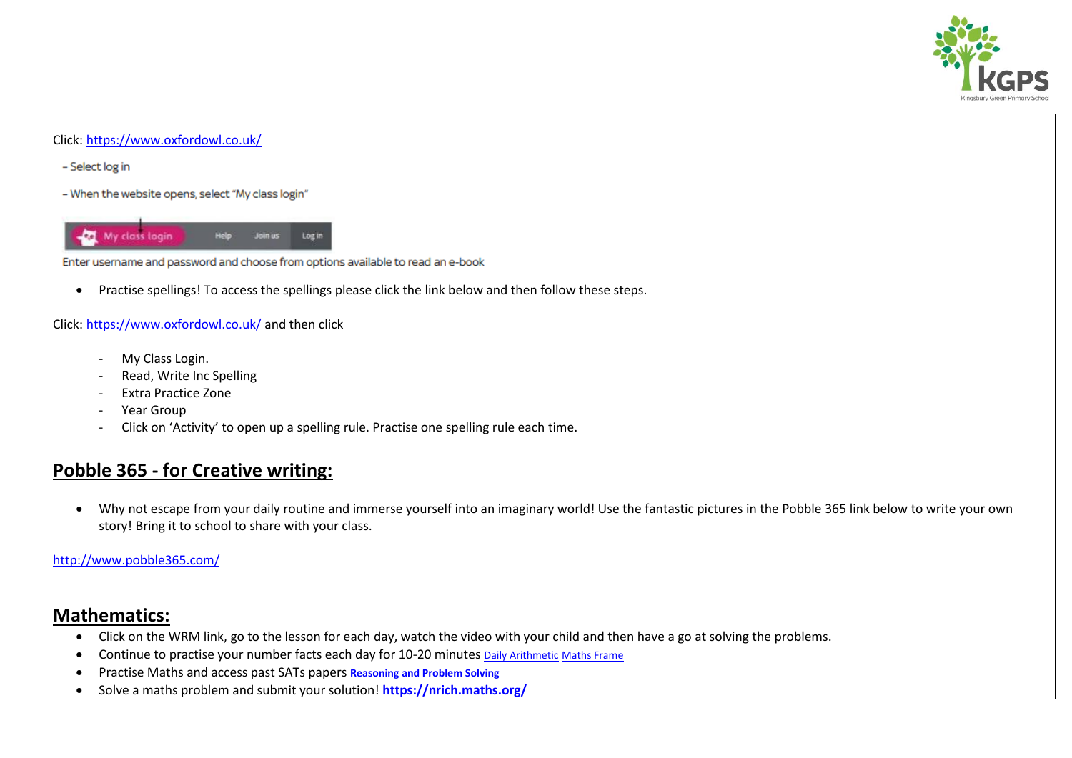

#### Click[: https://www.oxfordowl.co.uk/](https://www.oxfordowl.co.uk/)

- Select log in

- When the website opens, select "My class login"



Enter username and password and choose from options available to read an e-book

Practise spellings! To access the spellings please click the link below and then follow these steps.

#### Click[: https://www.oxfordowl.co.uk/](https://www.oxfordowl.co.uk/) and then click

- My Class Login.
- Read, Write Inc Spelling
- Extra Practice Zone
- Year Group
- Click on 'Activity' to open up a spelling rule. Practise one spelling rule each time.

## **Pobble 365 - for Creative writing:**

 Why not escape from your daily routine and immerse yourself into an imaginary world! Use the fantastic pictures in the Pobble 365 link below to write your own story! Bring it to school to share with your class.

#### <http://www.pobble365.com/>

### **Mathematics:**

- Click on the WRM link, go to the lesson for each day, watch the video with your child and then have a go at solving the problems.
- Continue to practise your number facts each day for 10-20 minutes [Daily Arithmetic](https://www.topmarks.co.uk/maths-games/daily10) [Maths Frame](https://mathsframe.co.uk/)
- Practise Maths and access past SATs papers **[Reasoning and Problem Solving](https://primarysite-prod-sorted.s3.amazonaws.com/springcroft-primary-school/UploadedDocument/915522a464444cfa96a70bc9bdaee45d/ultimate-ks2-maths-sats-organiser-y6-daily-mini-videos-puzzles-for-y5.pdf)**
- Solve a maths problem and submit your solution! **<https://nrich.maths.org/>**